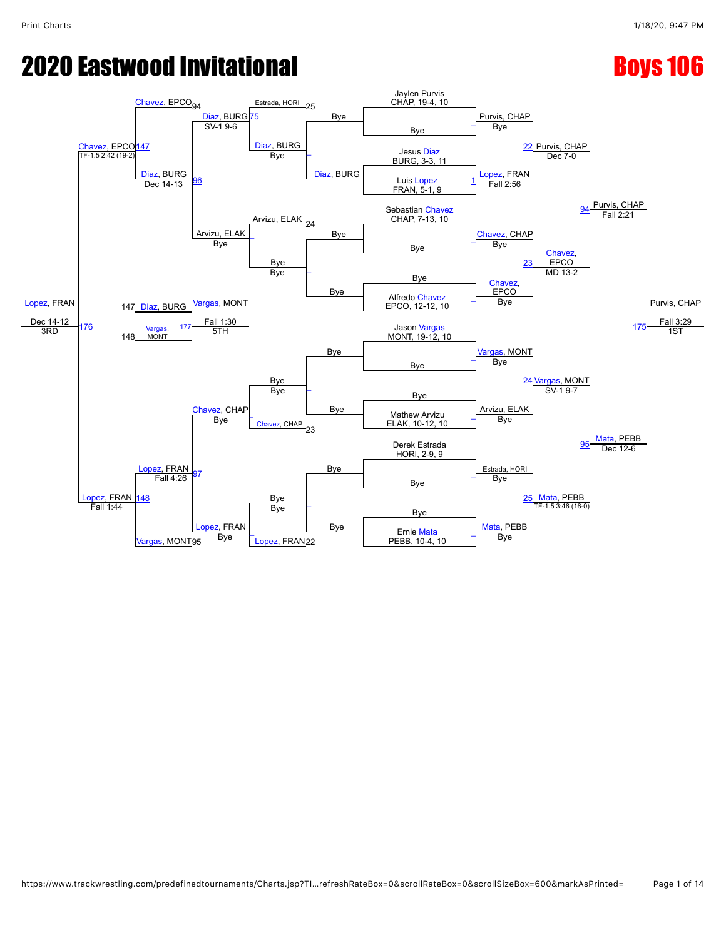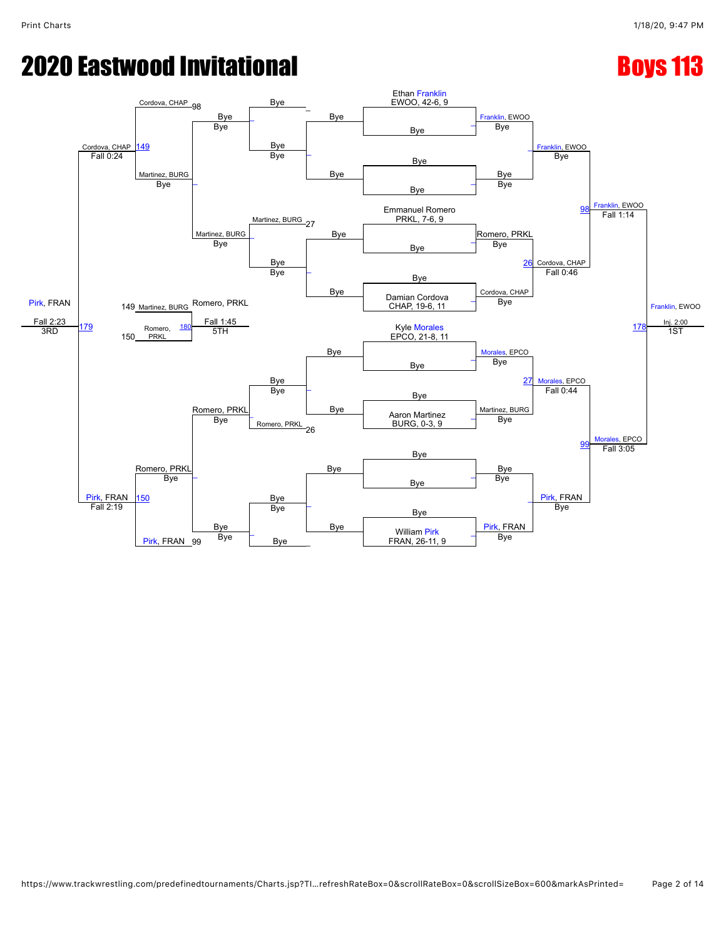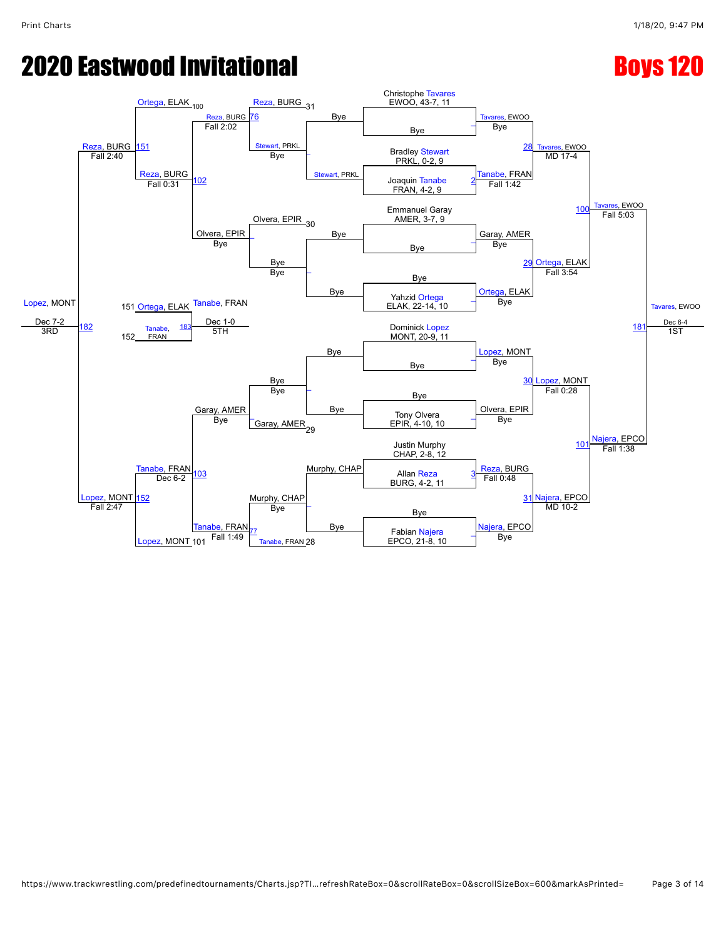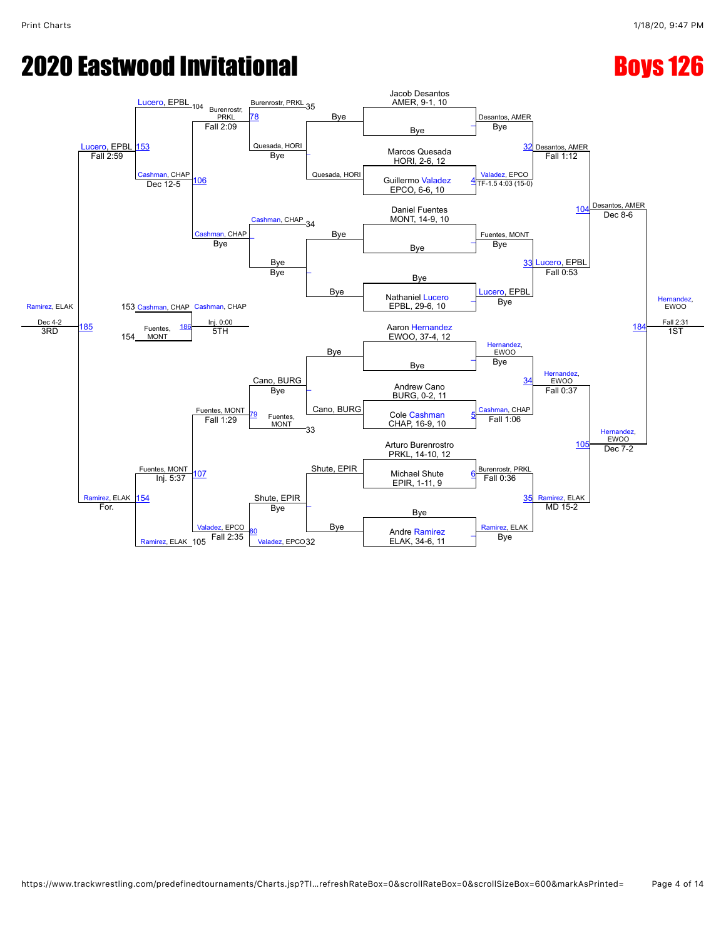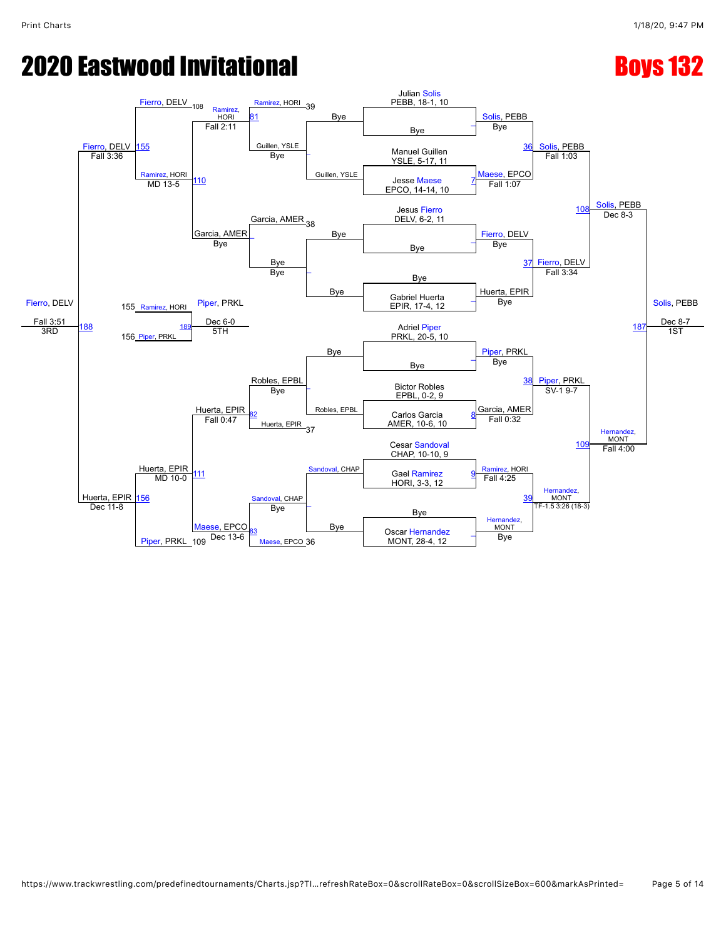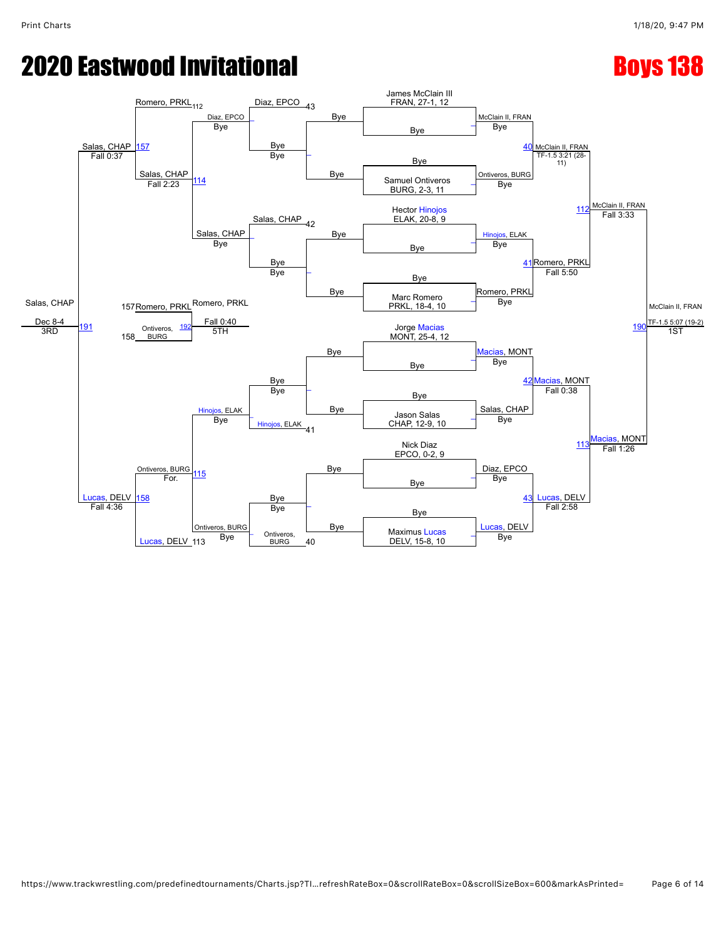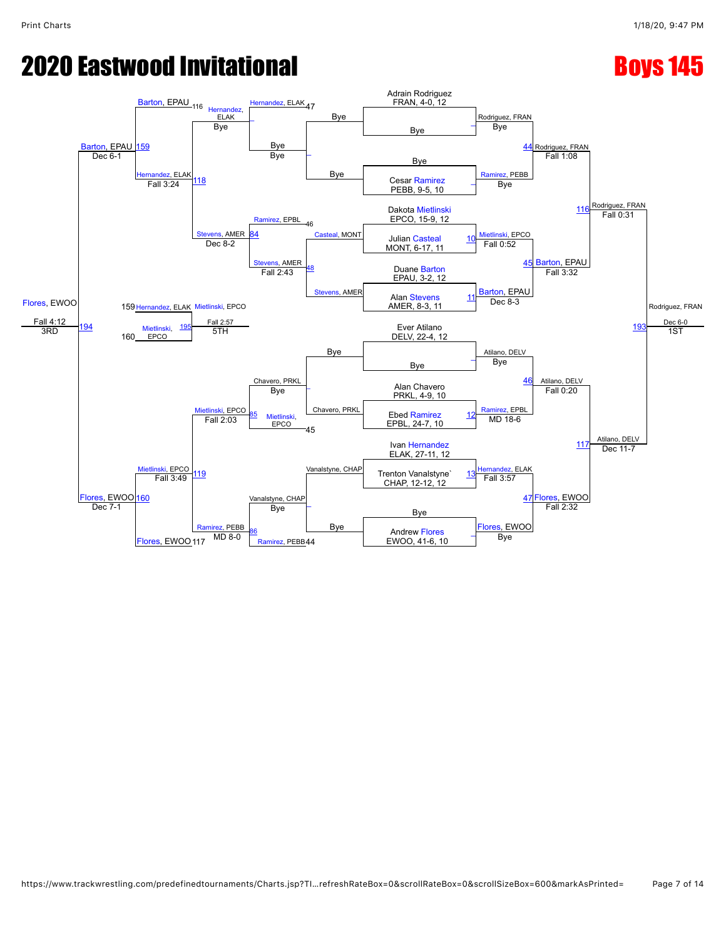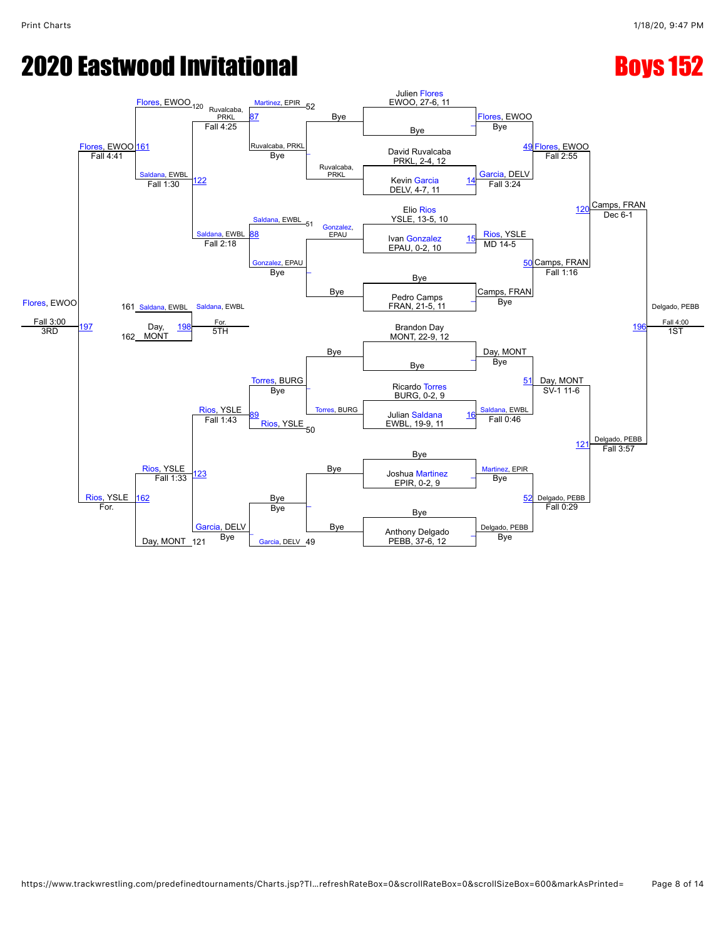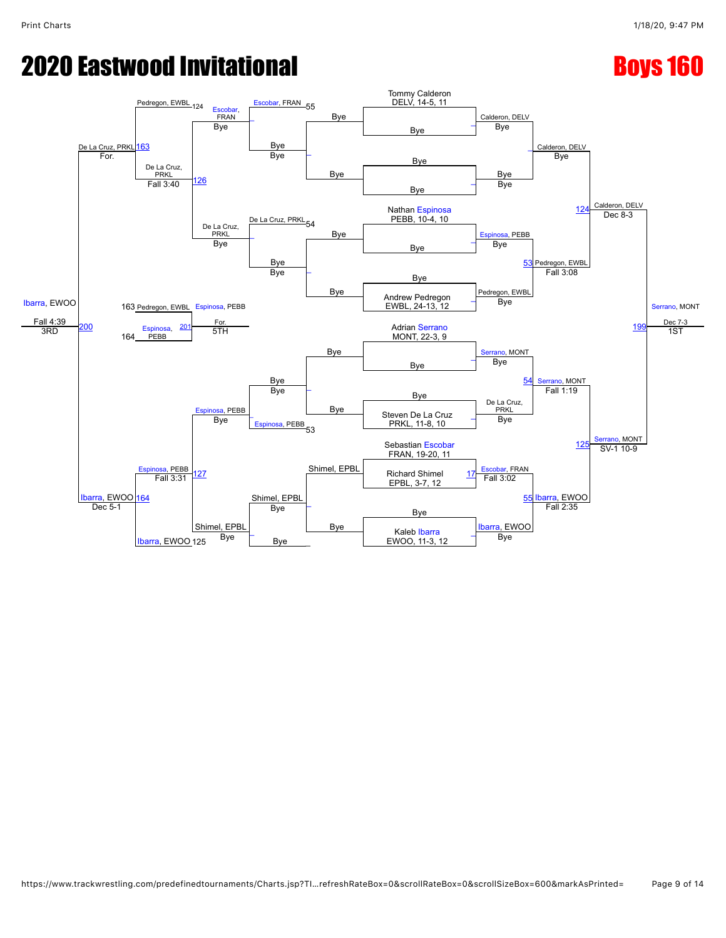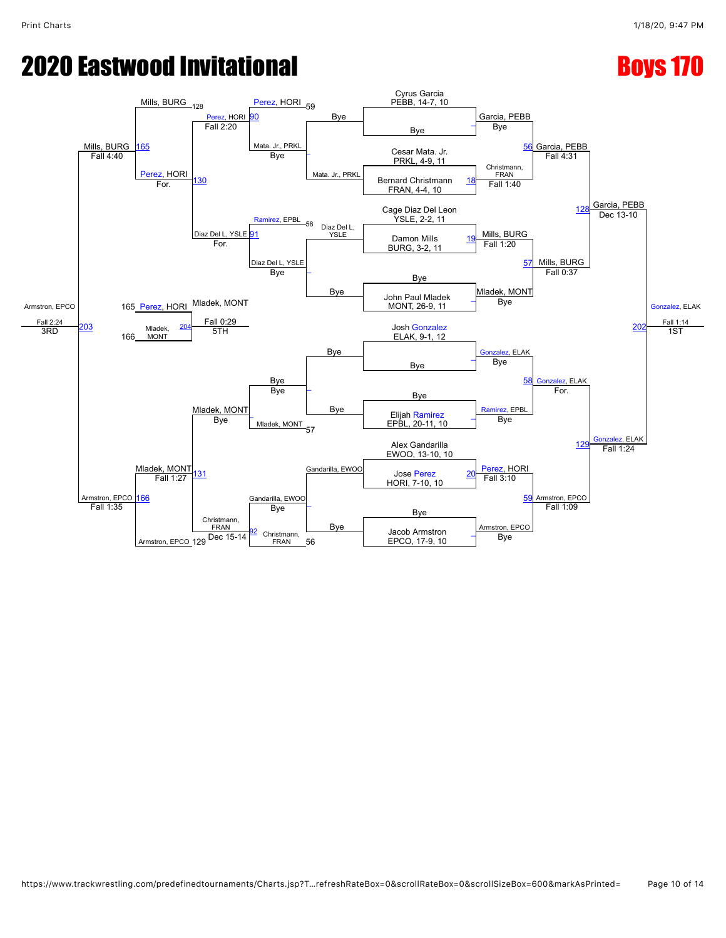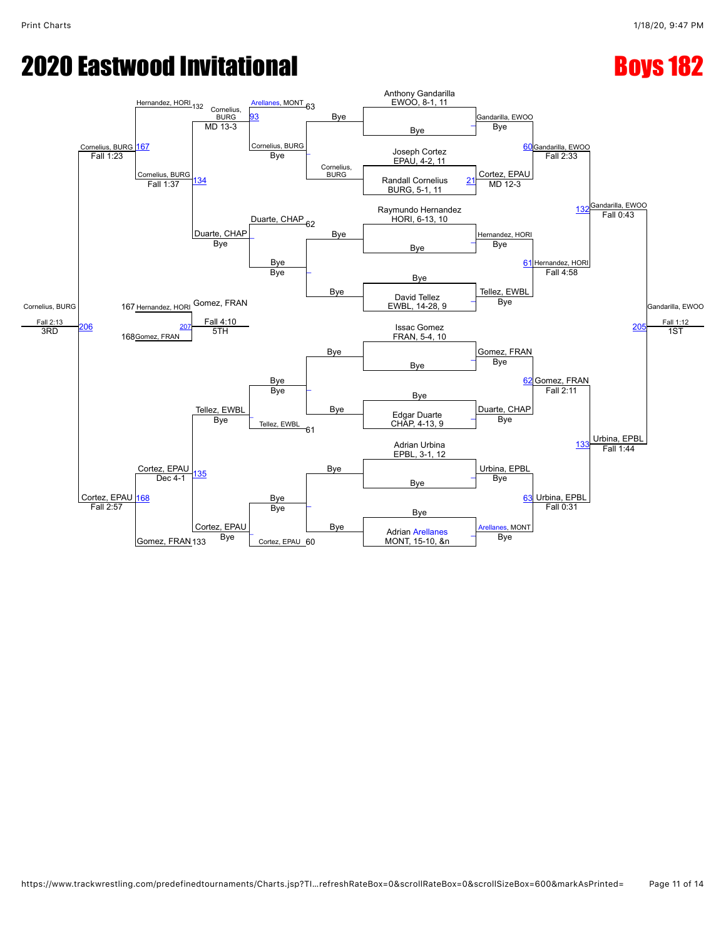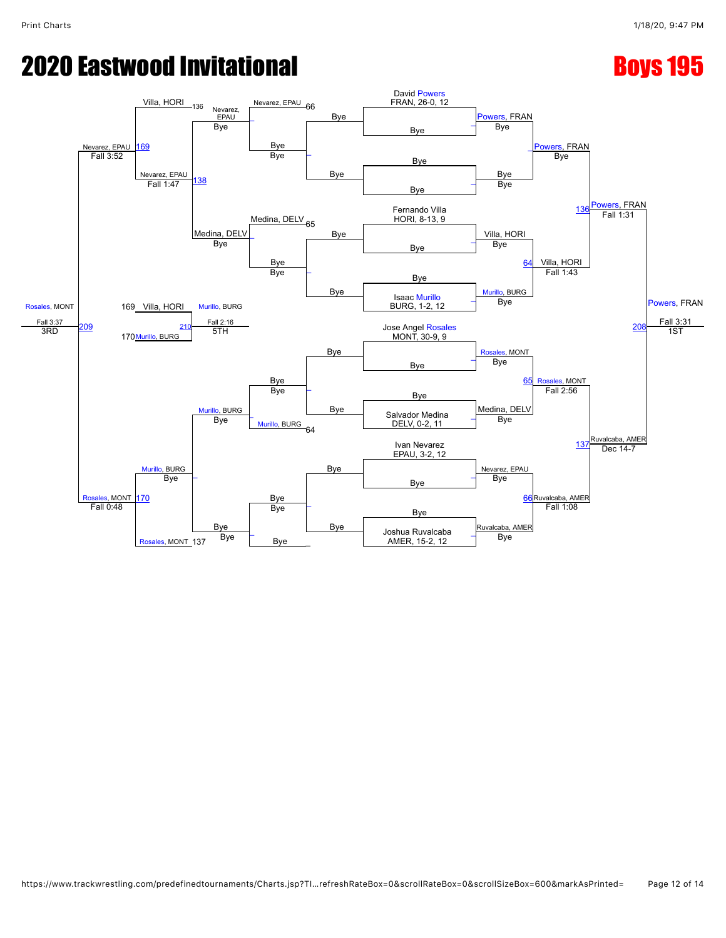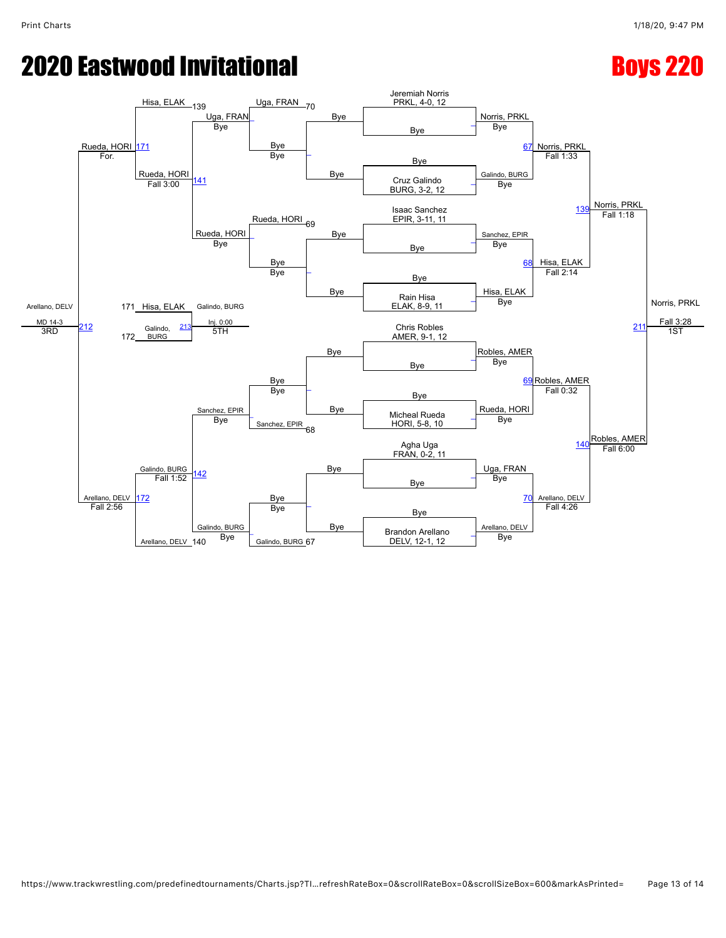# **2020 Eastwood Invitational Access 2008 220**